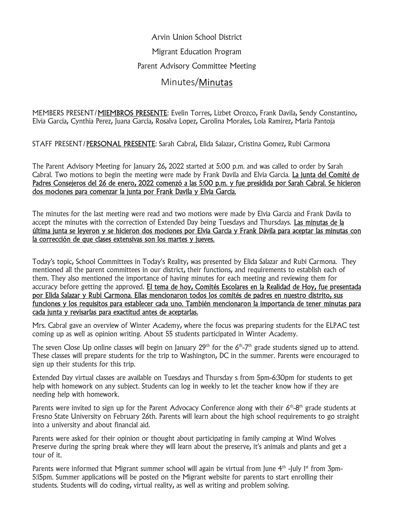Arvin Union School District Migrant Education Program Parent Advisory Committee Meeting

## Minutes/Minutas

MEMBERS PRESENT/MIEMBROS PRESENTE: Evelin Torres, Lizbet Orozco, Frank Davila, Sendy Constantino, Elvia Garcia, Cynthia Perez, Juana Garcia, Rosalva Lopez, Carolina Morales, Lola Ramirez, Maria Pantoja

STAFF PRESENT/PERSONAL PRESENTE: Sarah Cabral, Elida Salazar, Cristina Gomez, Rubi Carmona

The Parent Advisory Meeting for January 26, 2022 started at 5:00 p.m. and was called to order by Sarah Cabral. Two motions to begin the meeting were made by Frank Davila and Elvia Garcia. La junta del Comité de Padres Consejeros del 26 de enero, 2022 comenzó a las 5:00 p.m. y fue presidida por Sarah Cabral. Se hicieron dos mociones para comenzar la junta por Frank Davila y Elvia Garcia.

The minutes for the last meeting were read and two motions were made by Elvia Garcia and Frank Davila to accept the minutes with the correction of Extended Day being Tuesdays and Thursdays. Las minutas de la última junta se leyeron y se hicieron dos mociones por Elvia Garcia y Frank Dávila para aceptar las minutas con la corrección de que clases extensivas son los martes y jueves.

Today's topic, School Committees in Today's Reality, was presented by Elida Salazar and Rubi Carmona. They mentioned all the parent committees in our district, their functions, and requirements to establish each of them. They also mentioned the importance of having minutes for each meeting and reviewing them for accuracy before getting the approved. El tema de hoy, Comités Escolares en la Realidad de Hoy, fue presentada por Elida Salazar y Rubi Carmona. Ellas mencionaron todos los comités de padres en nuestro distrito, sus funciones y los requisitos para establecer cada uno. También mencionaron la importancia de tener minutas para cada junta y revisarlas para exactitud antes de aceptarlas.

Mrs. Cabral gave an overview of Winter Academy, where the focus was preparing students for the ELPAC test coming up as well as opinion writing. About 55 students participated in Winter Academy.

The seven Close Up online classes will begin on January 29<sup>th</sup> for the  $6<sup>th</sup>-7<sup>th</sup>$  grade students signed up to attend. These classes will prepare students for the trip to Washington, DC in the summer. Parents were encouraged to sign up their students for this trip.

Extended Day virtual classes are available on Tuesdays and Thursday s from 5pm-6:30pm for students to get help with homework on any subject. Students can log in weekly to let the teacher know how if they are needing help with homework.

Parents were invited to sign up for the Parent Advocacy Conference along with their  $6<sup>th</sup>$ -8<sup>th</sup> grade students at Fresno State University on February 26th. Parents will learn about the high school requirements to go straight into a university and about financial aid.

Parents were asked for their opinion or thought about participating in family camping at Wind Wolves Preserve during the spring break where they will learn about the preserve, it's animals and plants and get a tour of it.

Parents were informed that Migrant summer school will again be virtual from June  $4<sup>th</sup>$ -July 1<sup>st</sup> from 3pm-5:15pm. Summer applications will be posted on the Migrant website for parents to start enrolling their students. Students will do coding, virtual reality, as well as writing and problem solving.